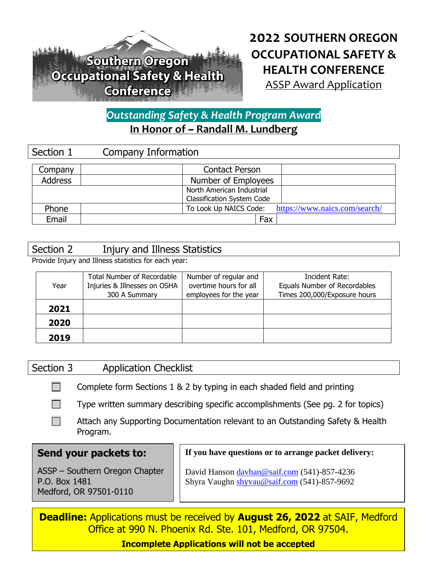# Southern Oregon Occupational Safety & Health **Conference**

# **2022 SOUTHERN OREGON OCCUPATIONAL SAFETY & HEALTH CONFERENCE** ASSP Award Application

# *Outstanding Safety & Health Program Award* **In Honor of ~ Randall M. Lundberg**

| Section 1      | Company Information                                     |  |  |
|----------------|---------------------------------------------------------|--|--|
| Company        | <b>Contact Person</b>                                   |  |  |
| <b>Address</b> | Number of Employees                                     |  |  |
|                | North American Industrial                               |  |  |
|                | <b>Classification System Code</b>                       |  |  |
| Phone          | https://www.naics.com/search/<br>To Look Up NAICS Code: |  |  |
| Email          | Fax                                                     |  |  |

#### Section 2 Injury and Illness Statistics

Provide Injury and Illness statistics for each year:

| Year | <b>Total Number of Recordable</b><br>Injuries & Illnesses on OSHA<br>300 A Summary | Number of regular and<br>overtime hours for all<br>employees for the year | Incident Rate:<br>Equals Number of Recordables<br>Times 200,000/Exposure hours |
|------|------------------------------------------------------------------------------------|---------------------------------------------------------------------------|--------------------------------------------------------------------------------|
| 2021 |                                                                                    |                                                                           |                                                                                |
| 2020 |                                                                                    |                                                                           |                                                                                |
| 2019 |                                                                                    |                                                                           |                                                                                |

## Section 3 Application Checklist

 $\Box$ Complete form Sections 1 & 2 by typing in each shaded field and printing

 $\mathcal{L}_{\mathcal{A}}$ Type written summary describing specific accomplishments (See pg. 2 for topics)

 $\Box$ Attach any Supporting Documentation relevant to an Outstanding Safety & Health Program.

## **Send your packets to:**

ASSP – Southern Oregon Chapter P.O. Box 1481 Medford, OR 97501-0110

**If you have questions or to arrange packet delivery:**

David Hanson [davhan@saif.com](mailto:davhan@saif.com) (541)-857-4236 Shyra Vaughn [shyvau@saif.com](mailto:shyvau@saif.com) (541)-857-9692

**Deadline:** Applications must be received by **August 26, 2022** at SAIF, Medford Office at 990 N. Phoenix Rd. Ste. 101, Medford, OR 97504.

**Incomplete Applications will not be accepted**